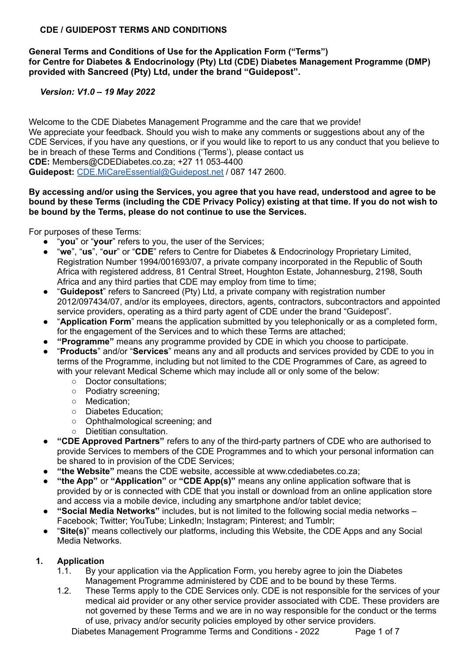### **CDE / GUIDEPOST TERMS AND CONDITIONS**

#### **General Terms and Conditions of Use for the Application Form ("Terms") for Centre for Diabetes & Endocrinology (Pty) Ltd (CDE) Diabetes Management Programme (DMP) provided with Sancreed (Pty) Ltd, under the brand "Guidepost".**

## *Version: V1.0 – 19 May 2022*

Welcome to the CDE Diabetes Management Programme and the care that we provide! We appreciate your feedback. Should you wish to make any comments or suggestions about any of the CDE Services, if you have any questions, or if you would like to report to us any conduct that you believe to be in breach of these Terms and Conditions ('Terms'), please contact us **CDE:** Members@CDEDiabetes.co.za; +27 11 053-4400 **Guidepost:** [CDE.MiCareEssential@Guidepost.net](mailto:CDE.MiCareEssential@Guidepost.net) / 087 147 2600.

#### **By accessing and/or using the Services, you agree that you have read, understood and agree to be** bound by these Terms (including the CDE Privacy Policy) existing at that time. If you do not wish to **be bound by the Terms, please do not continue to use the Services.**

For purposes of these Terms:

- "**you**" or "your" refers to you, the user of the Services;
- "**we**", "**us**", "**our**" or "**CDE**" refers to Centre for Diabetes & Endocrinology Proprietary Limited, Registration Number 1994/001693/07, a private company incorporated in the Republic of South Africa with registered address, 81 Central Street, Houghton Estate, Johannesburg, 2198, South Africa and any third parties that CDE may employ from time to time;
- "**Guidepost**" refers to Sancreed (Pty) Ltd, a private company with registration number 2012/097434/07, and/or its employees, directors, agents, contractors, subcontractors and appointed service providers, operating as a third party agent of CDE under the brand "Guidepost".
- "**Application Form**" means the application submitted by you telephonically or as a completed form, for the engagement of the Services and to which these Terms are attached;
- **"Programme"** means any programme provided by CDE in which you choose to participate.
- "**Products**" and/or "**Services**" means any and all products and services provided by CDE to you in terms of the Programme, including but not limited to the CDE Programmes of Care, as agreed to with your relevant Medical Scheme which may include all or only some of the below:
	- Doctor consultations;
	- Podiatry screening;
	- Medication;
	- Diabetes Education;
	- Ophthalmological screening; and
	- Dietitian consultation.
- **● "CDE Approved Partners"** refers to any of the third-party partners of CDE who are authorised to provide Services to members of the CDE Programmes and to which your personal information can be shared to in provision of the CDE Services;
- **"the Website"** means the CDE website, accessible at www.cdediabetes.co.za;
- **"the App"** or **"Application"** or **"CDE App(s)"** means any online application software that is provided by or is connected with CDE that you install or download from an online application store and access via a mobile device, including any smartphone and/or tablet device;
- **● "Social Media Networks"** includes, but is not limited to the following social media networks Facebook; Twitter; YouTube; LinkedIn; Instagram; Pinterest; and Tumblr;
- "**Site(s)**" means collectively our platforms, including this Website, the CDE Apps and any Social Media Networks.

## **1. Application**

- 1.1. By your application via the Application Form, you hereby agree to join the Diabetes Management Programme administered by CDE and to be bound by these Terms.
- 1.2. These Terms apply to the CDE Services only. CDE is not responsible for the services of your medical aid provider or any other service provider associated with CDE. These providers are not governed by these Terms and we are in no way responsible for the conduct or the terms of use, privacy and/or security policies employed by other service providers.

Diabetes Management Programme Terms and Conditions - 2022 Page 1 of 7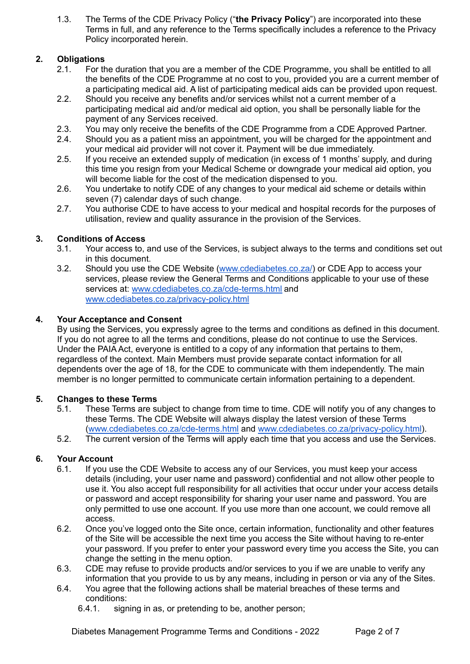1.3. The Terms of the CDE Privacy Policy ("**the Privacy Policy**") are incorporated into these Terms in full, and any reference to the Terms specifically includes a reference to the Privacy Policy incorporated herein.

# **2. Obligations**

- 2.1. For the duration that you are a member of the CDE Programme, you shall be entitled to all the benefits of the CDE Programme at no cost to you, provided you are a current member of a participating medical aid. A list of participating medical aids can be provided upon request.
- 2.2. Should you receive any benefits and/or services whilst not a current member of a participating medical aid and/or medical aid option, you shall be personally liable for the payment of any Services received.
- 2.3. You may only receive the benefits of the CDE Programme from a CDE Approved Partner.
- 2.4. Should you as a patient miss an appointment, you will be charged for the appointment and your medical aid provider will not cover it. Payment will be due immediately.
- 2.5. If you receive an extended supply of medication (in excess of 1 months' supply, and during this time you resign from your Medical Scheme or downgrade your medical aid option, you will become liable for the cost of the medication dispensed to you.
- 2.6. You undertake to notify CDE of any changes to your medical aid scheme or details within seven (7) calendar days of such change.
- 2.7. You authorise CDE to have access to your medical and hospital records for the purposes of utilisation, review and quality assurance in the provision of the Services.

## **3. Conditions of Access**

- 3.1. Your access to, and use of the Services, is subject always to the terms and conditions set out in this document.
- 3.2. Should you use the CDE Website [\(www.cdediabetes.co.za/](http://www.cdediabetes.co.za/)) or CDE App to access your services, please review the General Terms and Conditions applicable to your use of these services at: [www.cdediabetes.co.za/cde-terms.html](http://www.cdediabetes.co.za/cde-terms.html) and [www.cdediabetes.co.za/privacy-policy.html](http://www.cdediabetes.co.za/privacy-policy.html)

## **4. Your Acceptance and Consent**

By using the Services, you expressly agree to the terms and conditions as defined in this document. If you do not agree to all the terms and conditions, please do not continue to use the Services. Under the PAIA Act, everyone is entitled to a copy of any information that pertains to them, regardless of the context. Main Members must provide separate contact information for all dependents over the age of 18, for the CDE to communicate with them independently. The main member is no longer permitted to communicate certain information pertaining to a dependent.

## **5. Changes to these Terms**

- 5.1. These Terms are subject to change from time to time. CDE will notify you of any changes to these Terms. The CDE Website will always display the latest version of these Terms [\(www.cdediabetes.co.za/cde-terms.html](http://www.cdediabetes.co.za/privacy-policy.html) and [www.cdediabetes.co.za/privacy-policy.html\)](http://www.cdediabetes.co.za/privacy-policy.html).
- 5.2. The current version of the Terms will apply each time that you access and use the Services.

## **6. Your Account**

- 6.1. If you use the CDE Website to access any of our Services, you must keep your access details (including, your user name and password) confidential and not allow other people to use it. You also accept full responsibility for all activities that occur under your access details or password and accept responsibility for sharing your user name and password. You are only permitted to use one account. If you use more than one account, we could remove all access.
- 6.2. Once you've logged onto the Site once, certain information, functionality and other features of the Site will be accessible the next time you access the Site without having to re-enter your password. If you prefer to enter your password every time you access the Site, you can change the setting in the menu option.
- 6.3. CDE may refuse to provide products and/or services to you if we are unable to verify any information that you provide to us by any means, including in person or via any of the Sites.
- 6.4. You agree that the following actions shall be material breaches of these terms and conditions:
	- 6.4.1. signing in as, or pretending to be, another person;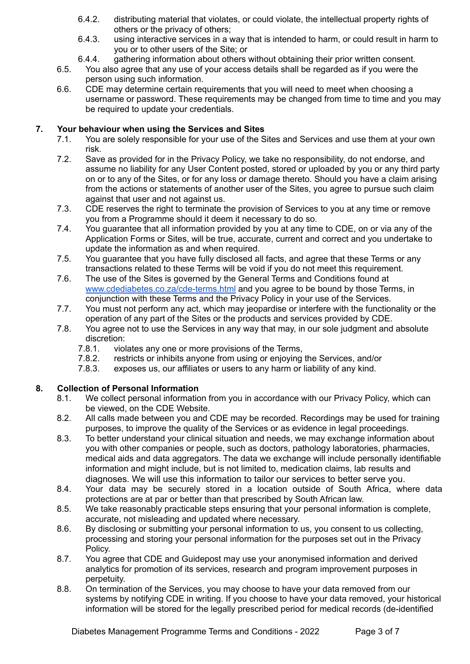- 6.4.2. distributing material that violates, or could violate, the intellectual property rights of others or the privacy of others;
- 6.4.3. using interactive services in a way that is intended to harm, or could result in harm to you or to other users of the Site; or
- 6.4.4. gathering information about others without obtaining their prior written consent.
- 6.5. You also agree that any use of your access details shall be regarded as if you were the person using such information.
- 6.6. CDE may determine certain requirements that you will need to meet when choosing a username or password. These requirements may be changed from time to time and you may be required to update your credentials.

#### **7. Your behaviour when using the Services and Sites**

- 7.1. You are solely responsible for your use of the Sites and Services and use them at your own risk.
- 7.2. Save as provided for in the Privacy Policy, we take no responsibility, do not endorse, and assume no liability for any User Content posted, stored or uploaded by you or any third party on or to any of the Sites, or for any loss or damage thereto. Should you have a claim arising from the actions or statements of another user of the Sites, you agree to pursue such claim against that user and not against us.
- 7.3. CDE reserves the right to terminate the provision of Services to you at any time or remove you from a Programme should it deem it necessary to do so.
- 7.4. You guarantee that all information provided by you at any time to CDE, on or via any of the Application Forms or Sites, will be true, accurate, current and correct and you undertake to update the information as and when required.
- 7.5. You guarantee that you have fully disclosed all facts, and agree that these Terms or any transactions related to these Terms will be void if you do not meet this requirement.
- 7.6. The use of the Sites is governed by the General Terms and Conditions found at [www.cdediabetes.co.za/cde-terms.html](http://www.cdediabetes.co.za/cde-terms.html) and you agree to be bound by those Terms, in conjunction with these Terms and the Privacy Policy in your use of the Services.
- 7.7. You must not perform any act, which may jeopardise or interfere with the functionality or the operation of any part of the Sites or the products and services provided by CDE.
- 7.8. You agree not to use the Services in any way that may, in our sole judgment and absolute discretion:
	- 7.8.1. violates any one or more provisions of the Terms,
	- 7.8.2. restricts or inhibits anyone from using or enjoying the Services, and/or
	- 7.8.3. exposes us, our affiliates or users to any harm or liability of any kind.

## **8. Collection of Personal Information**

- 8.1. We collect personal information from you in accordance with our Privacy Policy, which can be viewed, on the CDE Website.
- 8.2. All calls made between you and CDE may be recorded. Recordings may be used for training purposes, to improve the quality of the Services or as evidence in legal proceedings.
- 8.3. To better understand your clinical situation and needs, we may exchange information about you with other companies or people, such as doctors, pathology laboratories, pharmacies, medical aids and data aggregators. The data we exchange will include personally identifiable information and might include, but is not limited to, medication claims, lab results and diagnoses. We will use this information to tailor our services to better serve you.
- 8.4. Your data may be securely stored in a location outside of South Africa, where data protections are at par or better than that prescribed by South African law.
- 8.5. We take reasonably practicable steps ensuring that your personal information is complete, accurate, not misleading and updated where necessary.
- 8.6. By disclosing or submitting your personal information to us, you consent to us collecting, processing and storing your personal information for the purposes set out in the Privacy Policy.
- 8.7. You agree that CDE and Guidepost may use your anonymised information and derived analytics for promotion of its services, research and program improvement purposes in perpetuity.
- 8.8. On termination of the Services, you may choose to have your data removed from our systems by notifying CDE in writing. If you choose to have your data removed, your historical information will be stored for the legally prescribed period for medical records (de-identified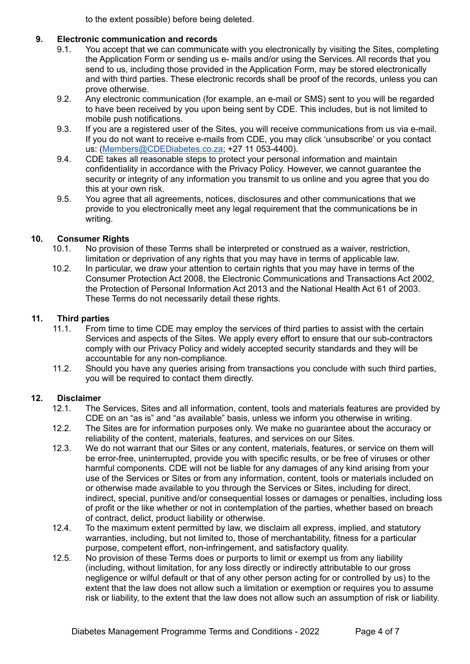to the extent possible) before being deleted.

### **9. Electronic communication and records**

- 9.1. You accept that we can communicate with you electronically by visiting the Sites, completing the Application Form or sending us e- mails and/or using the Services. All records that you send to us, including those provided in the Application Form, may be stored electronically and with third parties. These electronic records shall be proof of the records, unless you can prove otherwise.
- 9.2. Any electronic communication (for example, an e-mail or SMS) sent to you will be regarded to have been received by you upon being sent by CDE. This includes, but is not limited to mobile push notifications.
- 9.3. If you are a registered user of the Sites, you will receive communications from us via e-mail. If you do not want to receive e-mails from CDE, you may click 'unsubscribe' or you contact us: ([Members@CDEDiabetes.co.za;](mailto:Members@CDEDiabetes.co.za) +27 11 053-4400).
- 9.4. CDE takes all reasonable steps to protect your personal information and maintain confidentiality in accordance with the Privacy Policy. However, we cannot guarantee the security or integrity of any information you transmit to us online and you agree that you do this at your own risk.
- 9.5. You agree that all agreements, notices, disclosures and other communications that we provide to you electronically meet any legal requirement that the communications be in writing.

## **10. Consumer Rights**

- 10.1. No provision of these Terms shall be interpreted or construed as a waiver, restriction, limitation or deprivation of any rights that you may have in terms of applicable law.
- 10.2. In particular, we draw your attention to certain rights that you may have in terms of the Consumer Protection Act 2008, the Electronic Communications and Transactions Act 2002, the Protection of Personal Information Act 2013 and the National Health Act 61 of 2003. These Terms do not necessarily detail these rights.

#### **11. Third parties**

- 11.1. From time to time CDE may employ the services of third parties to assist with the certain Services and aspects of the Sites. We apply every effort to ensure that our sub-contractors comply with our Privacy Policy and widely accepted security standards and they will be accountable for any non-compliance.
- 11.2. Should you have any queries arising from transactions you conclude with such third parties, you will be required to contact them directly.

#### **12. Disclaimer**

- 12.1. The Services, Sites and all information, content, tools and materials features are provided by CDE on an "as is" and "as available" basis, unless we inform you otherwise in writing.
- 12.2. The Sites are for information purposes only. We make no guarantee about the accuracy or reliability of the content, materials, features, and services on our Sites.
- 12.3. We do not warrant that our Sites or any content, materials, features, or service on them will be error-free, uninterrupted, provide you with specific results, or be free of viruses or other harmful components. CDE will not be liable for any damages of any kind arising from your use of the Services or Sites or from any information, content, tools or materials included on or otherwise made available to you through the Services or Sites, including for direct, indirect, special, punitive and/or consequential losses or damages or penalties, including loss of profit or the like whether or not in contemplation of the parties, whether based on breach of contract, delict, product liability or otherwise.
- 12.4. To the maximum extent permitted by law, we disclaim all express, implied, and statutory warranties, including, but not limited to, those of merchantability, fitness for a particular purpose, competent effort, non-infringement, and satisfactory quality.
- 12.5. No provision of these Terms does or purports to limit or exempt us from any liability (including, without limitation, for any loss directly or indirectly attributable to our gross negligence or wilful default or that of any other person acting for or controlled by us) to the extent that the law does not allow such a limitation or exemption or requires you to assume risk or liability, to the extent that the law does not allow such an assumption of risk or liability.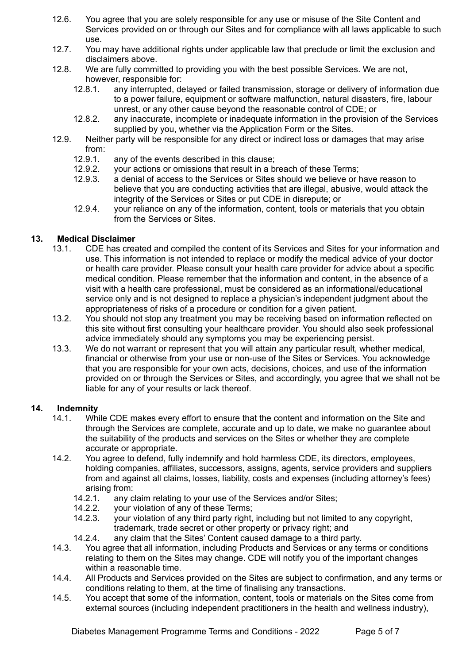- 12.6. You agree that you are solely responsible for any use or misuse of the Site Content and Services provided on or through our Sites and for compliance with all laws applicable to such use.
- 12.7. You may have additional rights under applicable law that preclude or limit the exclusion and disclaimers above.
- 12.8. We are fully committed to providing you with the best possible Services. We are not, however, responsible for:
	- 12.8.1. any interrupted, delayed or failed transmission, storage or delivery of information due to a power failure, equipment or software malfunction, natural disasters, fire, labour unrest, or any other cause beyond the reasonable control of CDE; or
	- 12.8.2. any inaccurate, incomplete or inadequate information in the provision of the Services supplied by you, whether via the Application Form or the Sites.
- 12.9. Neither party will be responsible for any direct or indirect loss or damages that may arise from:
	- 12.9.1. any of the events described in this clause;
	- 12.9.2. your actions or omissions that result in a breach of these Terms;
	- 12.9.3. a denial of access to the Services or Sites should we believe or have reason to believe that you are conducting activities that are illegal, abusive, would attack the integrity of the Services or Sites or put CDE in disrepute; or
	- 12.9.4. your reliance on any of the information, content, tools or materials that you obtain from the Services or Sites.

## **13. Medical Disclaimer**

- 13.1. CDE has created and compiled the content of its Services and Sites for your information and use. This information is not intended to replace or modify the medical advice of your doctor or health care provider. Please consult your health care provider for advice about a specific medical condition. Please remember that the information and content, in the absence of a visit with a health care professional, must be considered as an informational/educational service only and is not designed to replace a physician's independent judgment about the appropriateness of risks of a procedure or condition for a given patient.
- 13.2. You should not stop any treatment you may be receiving based on information reflected on this site without first consulting your healthcare provider. You should also seek professional advice immediately should any symptoms you may be experiencing persist.
- 13.3. We do not warrant or represent that you will attain any particular result, whether medical, financial or otherwise from your use or non-use of the Sites or Services. You acknowledge that you are responsible for your own acts, decisions, choices, and use of the information provided on or through the Services or Sites, and accordingly, you agree that we shall not be liable for any of your results or lack thereof.

#### **14. Indemnity**

- 14.1. While CDE makes every effort to ensure that the content and information on the Site and through the Services are complete, accurate and up to date, we make no guarantee about the suitability of the products and services on the Sites or whether they are complete accurate or appropriate.
- 14.2. You agree to defend, fully indemnify and hold harmless CDE, its directors, employees, holding companies, affiliates, successors, assigns, agents, service providers and suppliers from and against all claims, losses, liability, costs and expenses (including attorney's fees) arising from:
	- 14.2.1. any claim relating to your use of the Services and/or Sites;
	- 14.2.2. your violation of any of these Terms;
	- 14.2.3. your violation of any third party right, including but not limited to any copyright, trademark, trade secret or other property or privacy right; and
	- 14.2.4. any claim that the Sites' Content caused damage to a third party.
- 14.3. You agree that all information, including Products and Services or any terms or conditions relating to them on the Sites may change. CDE will notify you of the important changes within a reasonable time.
- 14.4. All Products and Services provided on the Sites are subject to confirmation, and any terms or conditions relating to them, at the time of finalising any transactions.
- 14.5. You accept that some of the information, content, tools or materials on the Sites come from external sources (including independent practitioners in the health and wellness industry),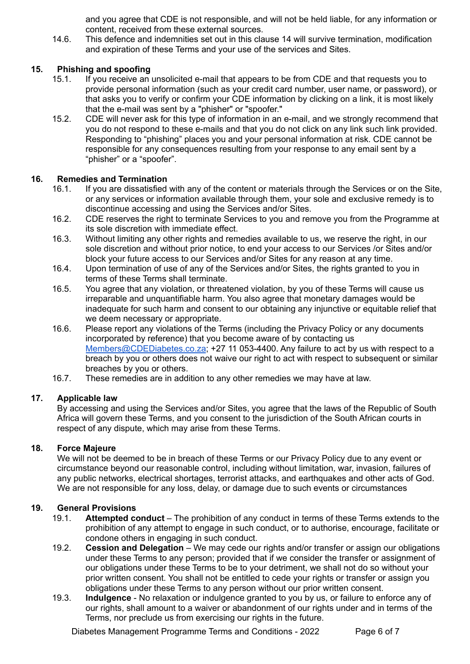and you agree that CDE is not responsible, and will not be held liable, for any information or content, received from these external sources.

14.6. This defence and indemnities set out in this clause 14 will survive termination, modification and expiration of these Terms and your use of the services and Sites.

## **15. Phishing and spoofing**

- 15.1. If you receive an unsolicited e-mail that appears to be from CDE and that requests you to provide personal information (such as your credit card number, user name, or password), or that asks you to verify or confirm your CDE information by clicking on a link, it is most likely that the e-mail was sent by a "phisher" or "spoofer."
- 15.2. CDE will never ask for this type of information in an e-mail, and we strongly recommend that you do not respond to these e-mails and that you do not click on any link such link provided. Responding to "phishing" places you and your personal information at risk. CDE cannot be responsible for any consequences resulting from your response to any email sent by a "phisher" or a "spoofer".

## **16. Remedies and Termination**

- 16.1. If you are dissatisfied with any of the content or materials through the Services or on the Site, or any services or information available through them, your sole and exclusive remedy is to discontinue accessing and using the Services and/or Sites.
- 16.2. CDE reserves the right to terminate Services to you and remove you from the Programme at its sole discretion with immediate effect.
- 16.3. Without limiting any other rights and remedies available to us, we reserve the right, in our sole discretion and without prior notice, to end your access to our Services /or Sites and/or block your future access to our Services and/or Sites for any reason at any time.
- 16.4. Upon termination of use of any of the Services and/or Sites, the rights granted to you in terms of these Terms shall terminate.
- 16.5. You agree that any violation, or threatened violation, by you of these Terms will cause us irreparable and unquantifiable harm. You also agree that monetary damages would be inadequate for such harm and consent to our obtaining any injunctive or equitable relief that we deem necessary or appropriate.
- 16.6. Please report any violations of the Terms (including the Privacy Policy or any documents incorporated by reference) that you become aware of by contacting us [Members@CDEDiabetes.co.za](mailto:Members@CDEDiabetes.co.za); +27 11 053-4400. Any failure to act by us with respect to a breach by you or others does not waive our right to act with respect to subsequent or similar breaches by you or others.
- 16.7. These remedies are in addition to any other remedies we may have at law.

#### **17. Applicable law**

By accessing and using the Services and/or Sites, you agree that the laws of the Republic of South Africa will govern these Terms, and you consent to the jurisdiction of the South African courts in respect of any dispute, which may arise from these Terms.

#### **18. Force Majeure**

We will not be deemed to be in breach of these Terms or our Privacy Policy due to any event or circumstance beyond our reasonable control, including without limitation, war, invasion, failures of any public networks, electrical shortages, terrorist attacks, and earthquakes and other acts of God. We are not responsible for any loss, delay, or damage due to such events or circumstances

#### **19. General Provisions**

- 19.1. **Attempted conduct** The prohibition of any conduct in terms of these Terms extends to the prohibition of any attempt to engage in such conduct, or to authorise, encourage, facilitate or condone others in engaging in such conduct.
- 19.2. **Cession and Delegation** We may cede our rights and/or transfer or assign our obligations under these Terms to any person; provided that if we consider the transfer or assignment of our obligations under these Terms to be to your detriment, we shall not do so without your prior written consent. You shall not be entitled to cede your rights or transfer or assign you obligations under these Terms to any person without our prior written consent.
- 19.3. **Indulgence** No relaxation or indulgence granted to you by us, or failure to enforce any of our rights, shall amount to a waiver or abandonment of our rights under and in terms of the Terms, nor preclude us from exercising our rights in the future.

Diabetes Management Programme Terms and Conditions - 2022 Page 6 of 7